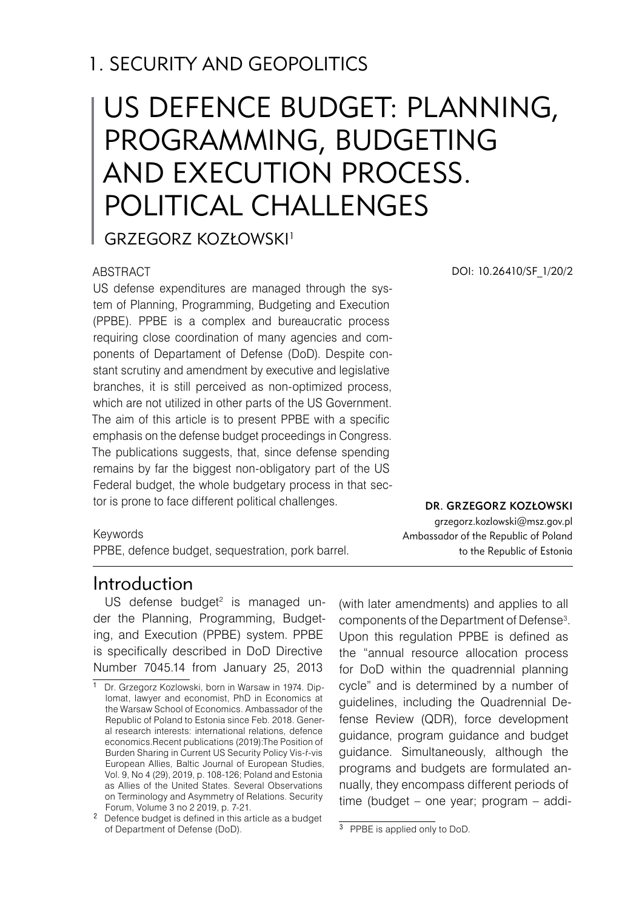# 1. SECURITY AND GEOPOLITICS

# US DEFENCE BUDGET: PLANNING, PROGRAMMING, BUDGETING AND EXECUTION PROCESS. POLITICAL CHALLENGES

Grzegorz Kozłowski 1

#### ABSTRACT

US defense expenditures are managed through the system of Planning, Programming, Budgeting and Execution (PPBE). PPBE is a complex and bureaucratic process requiring close coordination of many agencies and components of Departament of Defense (DoD). Despite constant scrutiny and amendment by executive and legislative branches, it is still perceived as non-optimized process, which are not utilized in other parts of the US Government. The aim of this article is to present PPBE with a specific emphasis on the defense budget proceedings in Congress. The publications suggests, that, since defense spending remains by far the biggest non-obligatory part of the US Federal budget, the whole budgetary process in that sector is prone to face different political challenges.

Keywords

PPBE, defence budget, sequestration, pork barrel.

### **Introduction**

US defense budget<sup>2</sup> is managed under the Planning, Programming, Budgeting, and Execution (PPBE) system. PPBE is specifically described in DoD Directive Number 7045.14 from January 25, 2013

(with later amendments) and applies to all components of the Department of Defense<sup>3</sup>. Upon this regulation PPBE is defined as the "annual resource allocation process for DoD within the quadrennial planning cycle" and is determined by a number of guidelines, including the Quadrennial Defense Review (QDR), force development guidance, program guidance and budget guidance. Simultaneously, although the programs and budgets are formulated annually, they encompass different periods of time (budget – one year; program – addi-

DOI: 10.26410/SF\_1/20/2

Dr. Grzegorz Kozłowski

grzegorz.kozlowski@msz.gov.pl Ambassador of the Republic of Poland to the Republic of Estonia

<sup>1</sup> Dr. Grzegorz Kozlowski, born in Warsaw in 1974. Diplomat, lawyer and economist, PhD in Economics at the Warsaw School of Economics. Ambassador of the Republic of Poland to Estonia since Feb. 2018. General research interests: international relations, defence economics.Recent publications (2019):The Position of Burden Sharing in Current US Security Policy Vis-ŕ-vis European Allies, Baltic Journal of European Studies, Vol. 9, No 4 (29), 2019, p. 108-126; Poland and Estonia as Allies of the United States. Several Observations on Terminology and Asymmetry of Relations. Security Forum, Volume 3 no 2 2019, p. 7-21.

Defence budget is defined in this article as a budget of Department of Defense (DoD).

<sup>&</sup>lt;sup>3</sup> PPBE is applied only to DoD.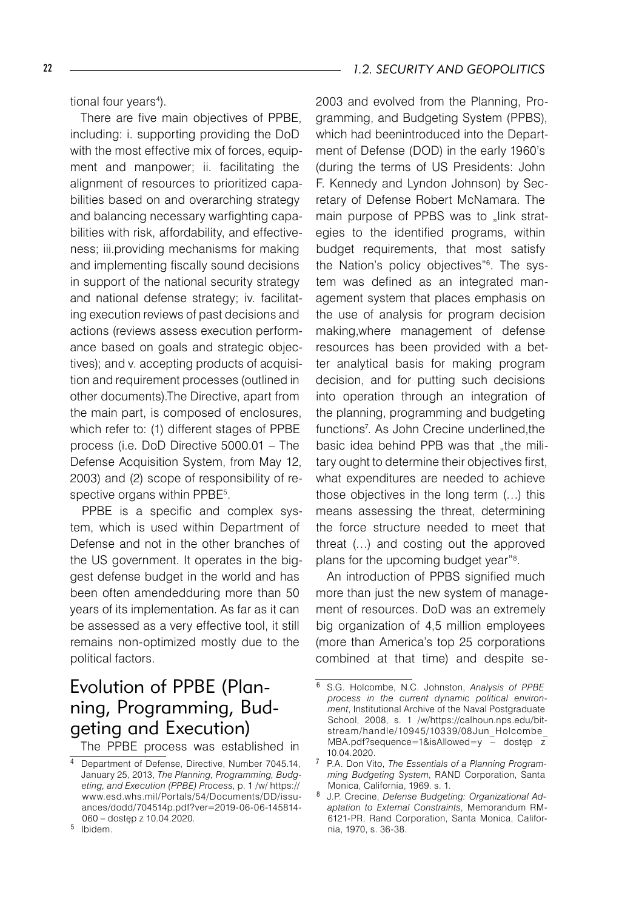tional four years<sup>4</sup>).

There are five main objectives of PPBE, including: i. supporting providing the DoD with the most effective mix of forces, equipment and manpower; ii. facilitating the alignment of resources to prioritized capabilities based on and overarching strategy and balancing necessary warfighting capabilities with risk, affordability, and effectiveness; iii.providing mechanisms for making and implementing fiscally sound decisions in support of the national security strategy and national defense strategy; iv. facilitating execution reviews of past decisions and actions (reviews assess execution performance based on goals and strategic objectives); and v. accepting products of acquisition and requirement processes (outlined in other documents).The Directive, apart from the main part, is composed of enclosures, which refer to: (1) different stages of PPBE process (i.e. DoD Directive 5000.01 – The Defense Acquisition System, from May 12, 2003) and (2) scope of responsibility of respective organs within PPBE<sup>5</sup>.

PPBE is a specific and complex system, which is used within Department of Defense and not in the other branches of the US government. It operates in the biggest defense budget in the world and has been often amendedduring more than 50 years of its implementation. As far as it can be assessed as a very effective tool, it still remains non-optimized mostly due to the political factors.

# Evolution of PPBE (Planning, Programming, Budgeting and Execution)

The PPBE process was established in

2003 and evolved from the Planning, Programming, and Budgeting System (PPBS), which had beenintroduced into the Department of Defense (DOD) in the early 1960's (during the terms of US Presidents: John F. Kennedy and Lyndon Johnson) by Secretary of Defense Robert McNamara. The main purpose of PPBS was to "link strategies to the identified programs, within budget requirements, that most satisfy the Nation's policy objectives"<sup>6</sup>. The system was defined as an integrated management system that places emphasis on the use of analysis for program decision making,where management of defense resources has been provided with a better analytical basis for making program decision, and for putting such decisions into operation through an integration of the planning, programming and budgeting functions<sup>7</sup>. As John Crecine underlined, the basic idea behind PPB was that ..the military ought to determine their objectives first, what expenditures are needed to achieve those objectives in the long term (…) this means assessing the threat, determining the force structure needed to meet that threat (…) and costing out the approved plans for the upcoming budget year"<sup>8</sup>.

An introduction of PPBS signified much more than just the new system of management of resources. DoD was an extremely big organization of 4,5 million employees (more than America's top 25 corporations combined at that time) and despite se-

<sup>&</sup>lt;sup>4</sup> Department of Defense, Directive, Number 7045.14, January 25, 2013, *The Planning, Programming, Budgeting, and Execution (PPBE) Process*, p. 1 /w/ https:// www.esd.whs.mil/Portals/54/Documents/DD/issuances/dodd/704514p.pdf?ver=2019-06-06-145814- 060 – dostęp z 10.04.2020.

<sup>&</sup>lt;sup>5</sup> Ibidem.

S.G. Holcombe, N.C. Johnston, *Analysis of PPBE process in the current dynamic political environment*, Institutional Archive of the Naval Postgraduate School, 2008, s. 1 /w/https://calhoun.nps.edu/bitstream/handle/10945/10339/08Jun\_Holcombe\_ MBA.pdf?sequence=1&isAllowed=y – dostęp z 10.04.2020.

P.A. Don Vito, *The Essentials of a Planning Programming Budgeting System*, RAND Corporation, Santa Monica, California, 1969. s. 1.

J.P. Crecine, *Defense Budgeting: Organizational Adaptation to External Constraints*, Memorandum RM-6121-PR, Rand Corporation, Santa Monica, California, 1970, s. 36-38.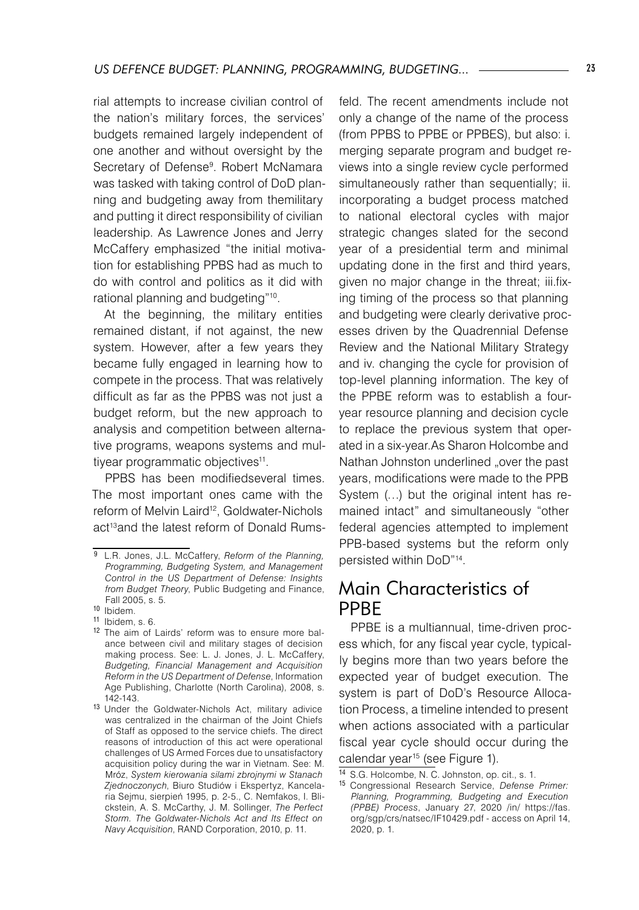rial attempts to increase civilian control of the nation's military forces, the services' budgets remained largely independent of one another and without oversight by the Secretary of Defense<sup>9</sup>. Robert McNamara was tasked with taking control of DoD planning and budgeting away from themilitary and putting it direct responsibility of civilian leadership. As Lawrence Jones and Jerry McCaffery emphasized "the initial motivation for establishing PPBS had as much to do with control and politics as it did with rational planning and budgeting"10.

At the beginning, the military entities remained distant, if not against, the new system. However, after a few years they became fully engaged in learning how to compete in the process. That was relatively difficult as far as the PPBS was not just a budget reform, but the new approach to analysis and competition between alternative programs, weapons systems and multiyear programmatic objectives<sup>11</sup>.

PPBS has been modifiedseveral times. The most important ones came with the reform of Melvin Laird<sup>12</sup>, Goldwater-Nichols act<sup>13</sup> and the latest reform of Donald Rumsfeld. The recent amendments include not only a change of the name of the process (from PPBS to PPBE or PPBES), but also: i. merging separate program and budget reviews into a single review cycle performed simultaneously rather than sequentially; ii. incorporating a budget process matched to national electoral cycles with major strategic changes slated for the second year of a presidential term and minimal updating done in the first and third years, given no major change in the threat; iii.fixing timing of the process so that planning and budgeting were clearly derivative processes driven by the Quadrennial Defense Review and the National Military Strategy and iv. changing the cycle for provision of top-level planning information. The key of the PPBE reform was to establish a fouryear resource planning and decision cycle to replace the previous system that operated in a six-year.As Sharon Holcombe and Nathan Johnston underlined "over the past years, modifications were made to the PPB System (…) but the original intent has remained intact" and simultaneously "other federal agencies attempted to implement PPB-based systems but the reform only persisted within DoD"14.

### Main Characteristics of PPBE

PPBE is a multiannual, time-driven process which, for any fiscal year cycle, typically begins more than two years before the expected year of budget execution. The system is part of DoD's Resource Allocation Process, a timeline intended to present when actions associated with a particular fiscal year cycle should occur during the calendar year<sup>15</sup> (see Figure 1).

L.R. Jones, J.L. McCaffery, *Reform of the Planning, Programming, Budgeting System, and Management Control in the US Department of Defense: Insights from Budget Theory*, Public Budgeting and Finance, Fall 2005, s. 5.

<sup>10</sup> Ibidem.

<sup>11</sup> Ibidem, s. 6.

<sup>12</sup> The aim of Lairds' reform was to ensure more balance between civil and military stages of decision making process. See: L. J. Jones, J. L. McCaffery, *Budgeting, Financial Management and Acquisition Reform in the US Department of Defense*, Information Age Publishing, Charlotte (North Carolina), 2008, s. 142-143.

<sup>13</sup> Under the Goldwater-Nichols Act, military adivice was centralized in the chairman of the Joint Chiefs of Staff as opposed to the service chiefs. The direct reasons of introduction of this act were operational challenges of US Armed Forces due to unsatisfactory acquisition policy during the war in Vietnam. See: M. Mróz, *System kierowania silami zbrojnymi w Stanach Zjednoczonych*, Biuro Studiów i Ekspertyz, Kancelaria Sejmu, sierpień 1995, p. 2-5., C. Nemfakos, I. Blickstein, A. S. McCarthy, J. M. Sollinger, *The Perfect Storm. The Goldwater-Nichols Act and Its Effect on Navy Acquisition*, RAND Corporation, 2010, p. 11.

<sup>14</sup> S.G. Holcombe, N. C. Johnston, op. cit., s. 1.

<sup>15</sup> Congressional Research Service, *Defense Primer: Planning, Programming, Budgeting and Execution (PPBE) Process*, January 27, 2020 /in/ https://fas. org/sgp/crs/natsec/IF10429.pdf - access on April 14, 2020, p. 1.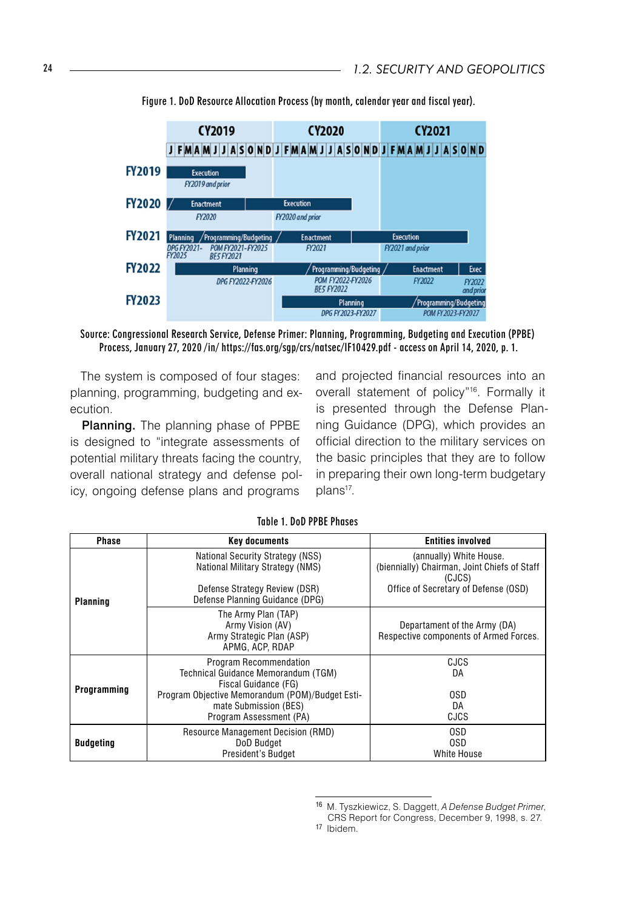

Figure 1. DoD Resource Allocation Process (by month, calendar year and fiscal year).

Source: Congressional Research Service, Defense Primer: Planning, Programming, Budgeting and Execution (PPBE) Process, January 27, 2020 /in/ https://fas.org/sgp/crs/natsec/IF10429.pdf - access on April 14, 2020, p. 1.

The system is composed of four stages: planning, programming, budgeting and execution.

Planning. The planning phase of PPBE is designed to "integrate assessments of potential military threats facing the country, overall national strategy and defense policy, ongoing defense plans and programs

and projected financial resources into an overall statement of policy"16. Formally it is presented through the Defense Planning Guidance (DPG), which provides an official direction to the military services on the basic principles that they are to follow in preparing their own long-term budgetary plans<sup>17</sup>.

| Phase            | <b>Key documents</b>                                                                                                                                                                         | <b>Entities involved</b>                                                                                                  |
|------------------|----------------------------------------------------------------------------------------------------------------------------------------------------------------------------------------------|---------------------------------------------------------------------------------------------------------------------------|
| Planning         | <b>National Security Strategy (NSS)</b><br>National Military Strategy (NMS)<br>Defense Strategy Review (DSR)<br>Defense Planning Guidance (DPG)                                              | (annually) White House.<br>(biennially) Chairman, Joint Chiefs of Staff<br>(CJCS)<br>Office of Secretary of Defense (OSD) |
|                  | The Army Plan (TAP)<br>Army Vision (AV)<br>Army Strategic Plan (ASP)<br>APMG, ACP, RDAP                                                                                                      | Departament of the Army (DA)<br>Respective components of Armed Forces.                                                    |
| Programming      | Program Recommendation<br>Technical Guidance Memorandum (TGM)<br>Fiscal Guidance (FG)<br>Program Objective Memorandum (POM)/Budget Esti-<br>mate Submission (BES)<br>Program Assessment (PA) | <b>CJCS</b><br>DA<br>0SD<br>DA<br>CJCS                                                                                    |
| <b>Budgeting</b> | Resource Management Decision (RMD)<br>DoD Budget<br>President's Budget                                                                                                                       | 0SD<br>0SD<br>White House                                                                                                 |

#### Table 1. DoD PPBE Phases

<sup>16</sup> M. Tyszkiewicz, S. Daggett, *A Defense Budget Primer*, CRS Report for Congress, December 9, 1998, s. 27.

<sup>17</sup> Ibidem.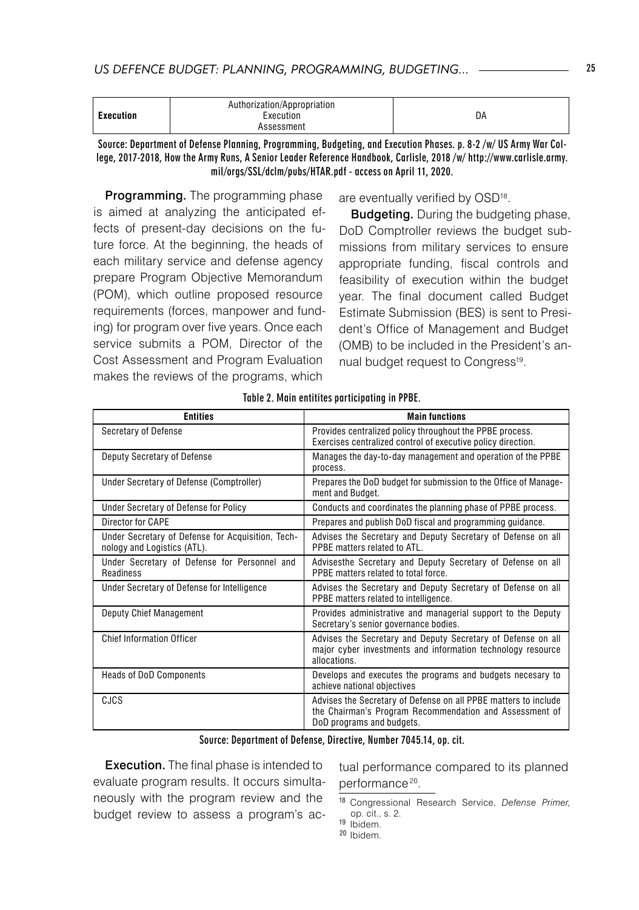| Execution<br>Execution<br>DA |  |  | Authorization/Appropriation<br>Assessment |  |
|------------------------------|--|--|-------------------------------------------|--|
|------------------------------|--|--|-------------------------------------------|--|

Source: Department of Defense Planning, Programming, Budgeting, and Execution Phases. p. 8-2 /w/ US Army War College, 2017-2018, How the Army Runs, A Senior Leader Reference Handbook, Carlisle, 2018 /w/ http://www.carlisle.army. mil/orgs/SSL/dclm/pubs/HTAR.pdf - access on April 11, 2020.

Programming. The programming phase is aimed at analyzing the anticipated effects of present-day decisions on the future force. At the beginning, the heads of each military service and defense agency prepare Program Objective Memorandum (POM), which outline proposed resource requirements (forces, manpower and funding) for program over five years. Once each service submits a POM, Director of the Cost Assessment and Program Evaluation makes the reviews of the programs, which

are eventually verified by OSD<sup>18</sup>.

**Budgeting.** During the budgeting phase, DoD Comptroller reviews the budget submissions from military services to ensure appropriate funding, fiscal controls and feasibility of execution within the budget year. The final document called Budget Estimate Submission (BES) is sent to President's Office of Management and Budget (OMB) to be included in the President's annual budget request to Congress<sup>19</sup>.

| <b>Entities</b>                                                                  | <b>Main functions</b>                                                                                                                                   |
|----------------------------------------------------------------------------------|---------------------------------------------------------------------------------------------------------------------------------------------------------|
| Secretary of Defense                                                             | Provides centralized policy throughout the PPBE process.<br>Exercises centralized control of executive policy direction.                                |
| Deputy Secretary of Defense                                                      | Manages the day-to-day management and operation of the PPBE<br>process.                                                                                 |
| Under Secretary of Defense (Comptroller)                                         | Prepares the DoD budget for submission to the Office of Manage-<br>ment and Budget.                                                                     |
| Under Secretary of Defense for Policy                                            | Conducts and coordinates the planning phase of PPBE process.                                                                                            |
| Director for CAPE                                                                | Prepares and publish DoD fiscal and programming guidance.                                                                                               |
| Under Secretary of Defense for Acquisition, Tech-<br>nology and Logistics (ATL). | Advises the Secretary and Deputy Secretary of Defense on all<br>PPRF matters related to ATI                                                             |
| Under Secretary of Defense for Personnel and<br>Readiness                        | Advisesthe Secretary and Deputy Secretary of Defense on all<br>PPBE matters related to total force.                                                     |
| Under Secretary of Defense for Intelligence                                      | Advises the Secretary and Deputy Secretary of Defense on all<br>PPBE matters related to intelligence.                                                   |
| Deputy Chief Management                                                          | Provides administrative and managerial support to the Deputy<br>Secretary's senior governance bodies.                                                   |
| <b>Chief Information Officer</b>                                                 | Advises the Secretary and Deputy Secretary of Defense on all<br>major cyber investments and information technology resource<br>allocations.             |
| <b>Heads of DoD Components</b>                                                   | Develops and executes the programs and budgets necesary to<br>achieve national objectives                                                               |
| CJCS                                                                             | Advises the Secretary of Defense on all PPBE matters to include<br>the Chairman's Program Recommendation and Assessment of<br>DoD programs and budgets. |

#### Table 2. Main entitites participating in PPBE.

Source: Department of Defense, Directive, Number 7045.14, op. cit.

Execution. The final phase is intended to evaluate program results. It occurs simultaneously with the program review and the budget review to assess a program's actual performance compared to its planned performance<sup>20</sup>.

<sup>20</sup> Ibidem.

<sup>18</sup> Congressional Research Service, *Defense Primer,*  op. cit., s. 2.

<sup>19</sup> Ibidem.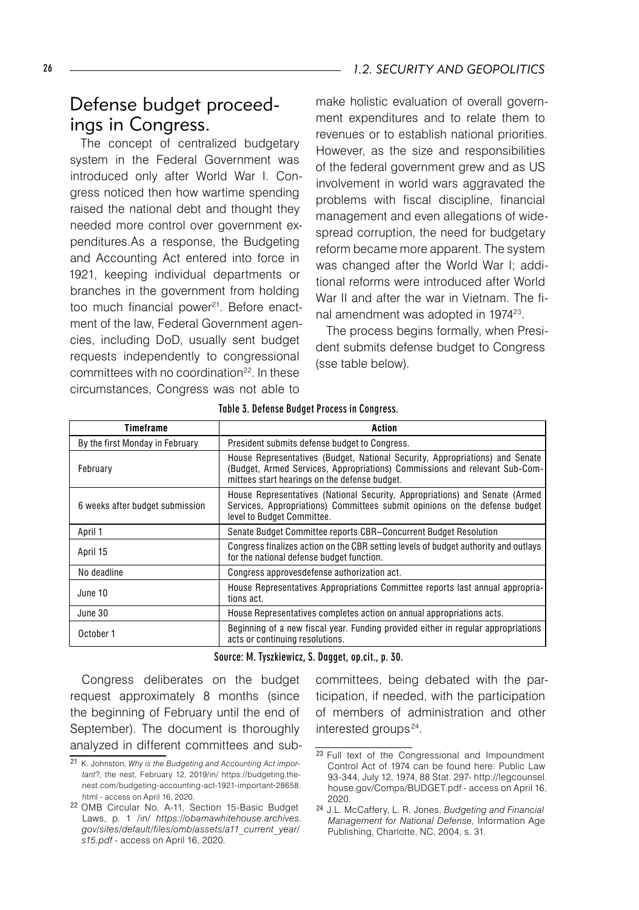# Defense budget proceedings in Congress.

The concept of centralized budgetary system in the Federal Government was introduced only after World War I. Congress noticed then how wartime spending raised the national debt and thought they needed more control over government expenditures.As a response, the Budgeting and Accounting Act entered into force in 1921, keeping individual departments or branches in the government from holding too much financial power<sup>21</sup>. Before enactment of the law, Federal Government agencies, including DoD, usually sent budget requests independently to congressional committees with no coordination<sup>22</sup>. In these circumstances, Congress was not able to

make holistic evaluation of overall government expenditures and to relate them to revenues or to establish national priorities. However, as the size and responsibilities of the federal government grew and as US involvement in world wars aggravated the problems with fiscal discipline, financial management and even allegations of widespread corruption, the need for budgetary reform became more apparent. The system was changed after the World War I; additional reforms were introduced after World War II and after the war in Vietnam. The final amendment was adopted in 197423 .

The process begins formally, when President submits defense budget to Congress (sse table below).

| Timeframe                       | Action                                                                                                                                                                                                      |
|---------------------------------|-------------------------------------------------------------------------------------------------------------------------------------------------------------------------------------------------------------|
| By the first Monday in February | President submits defense budget to Congress.                                                                                                                                                               |
| February                        | House Representatives (Budget, National Security, Appropriations) and Senate<br>(Budget, Armed Services, Appropriations) Commissions and relevant Sub-Com-<br>mittees start hearings on the defense budget. |
| 6 weeks after budget submission | House Representatives (National Security, Appropriations) and Senate (Armed<br>Services, Appropriations) Committees submit opinions on the defense budget<br>level to Budget Committee.                     |
| April 1                         | Senate Budget Committee reports CBR-Concurrent Budget Resolution                                                                                                                                            |
| April 15                        | Congress finalizes action on the CBR setting levels of budget authority and outlays<br>for the national defense budget function.                                                                            |
| No deadline                     | Congress approves defense authorization act.                                                                                                                                                                |
| June 10                         | House Representatives Appropriations Committee reports last annual appropria-<br>tions act.                                                                                                                 |
| June 30                         | House Representatives completes action on annual appropriations acts.                                                                                                                                       |
| October 1                       | Beginning of a new fiscal year. Funding provided either in regular appropriations<br>acts or continuing resolutions.                                                                                        |

Table 3. Defense Budget Process in Congress.

#### Source: M. Tyszkiewicz, S. Dagget, op.cit., p. 30.

Congress deliberates on the budget request approximately 8 months (since the beginning of February until the end of September). The document is thoroughly analyzed in different committees and subcommittees, being debated with the participation, if needed, with the participation of members of administration and other interested groups<sup>24</sup>.

<sup>21</sup> K. Johnston, *Why is the Budgeting and Accounting Act important*?, the nest, February 12, 2019/in/ https://budgeting.thenest.com/budgeting-accounting-act-1921-important-28658. html - access on April 16, 2020.

<sup>22</sup> OMB Circular No. A-11, Section 15-Basic Budget Laws, p. 1 /in/ *https://obamawhitehouse.archives. gov/sites/default/files/omb/assets/a11\_current\_year/ s15.pdf -* access on April 16, 2020.

<sup>&</sup>lt;sup>23</sup> Full text of the Congressional and Impoundment Control Act of 1974 can be found here: Public Law 93-344, July 12, 1974, 88 Stat. 297- http://legcounsel. house.gov/Comps/BUDGET.pdf - access on April 16, 2020.

<sup>24</sup> J.L. McCaffery, L. R. Jones, *Budgeting and Financial Management for National Defense*, Information Age Publishing, Charlotte, NC, 2004, s. 31.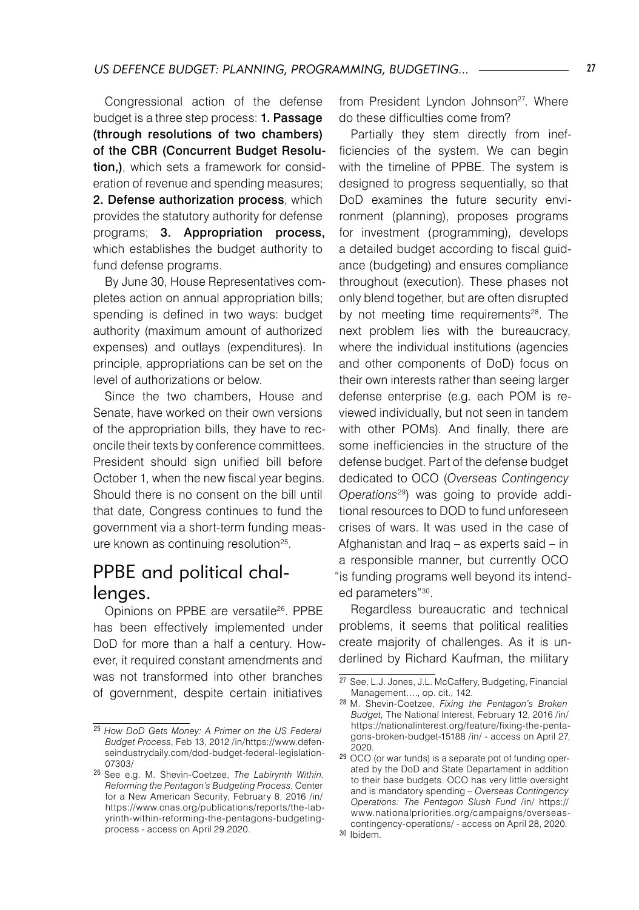Congressional action of the defense budget is a three step process: **1. Passage** (through resolutions of two chambers) of the CBR (Concurrent Budget Resolution.), which sets a framework for consideration of revenue and spending measures; 2. Defense authorization process, which provides the statutory authority for defense programs; 3. Appropriation process, which establishes the budget authority to fund defense programs.

By June 30, House Representatives completes action on annual appropriation bills; spending is defined in two ways: budget authority (maximum amount of authorized expenses) and outlays (expenditures). In principle, appropriations can be set on the level of authorizations or below.

Since the two chambers, House and Senate, have worked on their own versions of the appropriation bills, they have to reconcile their texts by conference committees. President should sign unified bill before October 1, when the new fiscal year begins. Should there is no consent on the bill until that date, Congress continues to fund the government via a short-term funding measure known as continuing resolution<sup>25</sup>.

## PPBE and political challenges.

Opinions on PPBE are versatile<sup>26</sup>. PPBE has been effectively implemented under DoD for more than a half a century. However, it required constant amendments and was not transformed into other branches of government, despite certain initiatives

from President Lyndon Johnson<sup>27</sup>. Where do these difficulties come from?

Partially they stem directly from inefficiencies of the system. We can begin with the timeline of PPBE. The system is designed to progress sequentially, so that DoD examines the future security environment (planning), proposes programs for investment (programming), develops a detailed budget according to fiscal guidance (budgeting) and ensures compliance throughout (execution). These phases not only blend together, but are often disrupted by not meeting time requirements<sup>28</sup>. The next problem lies with the bureaucracy, where the individual institutions (agencies and other components of DoD) focus on their own interests rather than seeing larger defense enterprise (e.g. each POM is reviewed individually, but not seen in tandem with other POMs). And finally, there are some inefficiencies in the structure of the defense budget. Part of the defense budget dedicated to OCO (*Overseas Contingency Operations*<sup>29</sup> ) was going to provide additional resources to DOD to fund unforeseen crises of wars. It was used in the case of Afghanistan and Iraq – as experts said – in a responsible manner, but currently OCO "is funding programs well beyond its intended parameters"<sup>30</sup>.

Regardless bureaucratic and technical problems, it seems that political realities create majority of challenges. As it is underlined by Richard Kaufman, the military

<sup>25</sup> *How DoD Gets Money: A Primer on the US Federal Budget Process*, Feb 13, 2012 /in/https://www.defenseindustrydaily.com/dod-budget-federal-legislation-07303/

<sup>26</sup> See e.g. M. Shevin-Coetzee, *The Labirynth Within. Reforming the Pentagon's Budgeting Process*, Center for a New American Security, February 8, 2016 /in/ https://www.cnas.org/publications/reports/the-labyrinth-within-reforming-the-pentagons-budgetingprocess - access on April 29.2020.

<sup>27</sup> See, L.J. Jones, J.L. McCaffery, Budgeting, Financial Management…., op. cit., 142.

<sup>28</sup> M. Shevin-Coetzee, *Fixing the Pentagon's Broken Budget,* The National Interest, February 12, 2016 /in/ https://nationalinterest.org/feature/fixing-the-pentagons-broken-budget-15188 /in/ - access on April 27, 2020.

<sup>29</sup> OCO (or war funds) is a separate pot of funding operated by the DoD and State Departament in addition to their base budgets. OCO has very little oversight and is mandatory spending – *Overseas Contingency Operations: The Pentagon Slush Fund* /in/ https:// www.nationalpriorities.org/campaigns/overseascontingency-operations/ - access on April 28, 2020.

<sup>30</sup> Ibidem.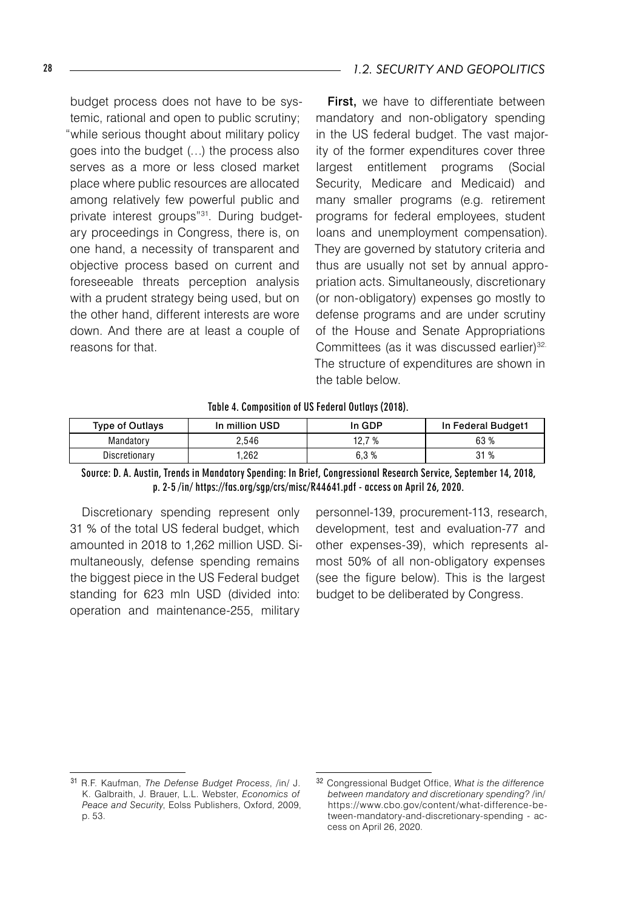budget process does not have to be systemic, rational and open to public scrutiny; "while serious thought about military policy goes into the budget (…) the process also serves as a more or less closed market place where public resources are allocated among relatively few powerful public and private interest groups"<sup>31</sup>. During budgetary proceedings in Congress, there is, on one hand, a necessity of transparent and objective process based on current and foreseeable threats perception analysis with a prudent strategy being used, but on the other hand, different interests are wore down. And there are at least a couple of reasons for that.

First, we have to differentiate between mandatory and non-obligatory spending in the US federal budget. The vast majority of the former expenditures cover three largest entitlement programs (Social Security, Medicare and Medicaid) and many smaller programs (e.g. retirement programs for federal employees, student loans and unemployment compensation). They are governed by statutory criteria and thus are usually not set by annual appropriation acts. Simultaneously, discretionary (or non-obligatory) expenses go mostly to defense programs and are under scrutiny of the House and Senate Appropriations Committees (as it was discussed earlier)<sup>32.</sup> The structure of expenditures are shown in the table below.

Table 4. Composition of US Federal Outlays (2018).

| <b>Type of Outlays</b> | In million USD | In GDP | In Federal Budget1 |
|------------------------|----------------|--------|--------------------|
| Mandatory              | ?.546          | 12.7 % | 63 %               |
| Discretionary          | .262           | 6.3%   | 31<br>%            |

Source: D. A. Austin, Trends in Mandatory Spending: In Brief, Congressional Research Service, September 14, 2018, p. 2-5 /in/ https://fas.org/sgp/crs/misc/R44641.pdf - access on April 26, 2020.

Discretionary spending represent only 31 % of the total US federal budget, which amounted in 2018 to 1,262 million USD. Simultaneously, defense spending remains the biggest piece in the US Federal budget standing for 623 mln USD (divided into: operation and maintenance-255, military

personnel-139, procurement-113, research, development, test and evaluation-77 and other expenses-39), which represents almost 50% of all non-obligatory expenses (see the figure below). This is the largest budget to be deliberated by Congress.

<sup>31</sup> R.F. Kaufman, *The Defense Budget Process*, /in/ J. K. Galbraith, J. Brauer, L.L. Webster, *Economics of Peace and Security*, Eolss Publishers, Oxford, 2009, p. 53.

<sup>32</sup> Congressional Budget Office, *What is the difference between mandatory and discretionary spending?* /in/ https://www.cbo.gov/content/what-difference-between-mandatory-and-discretionary-spending - access on April 26, 2020.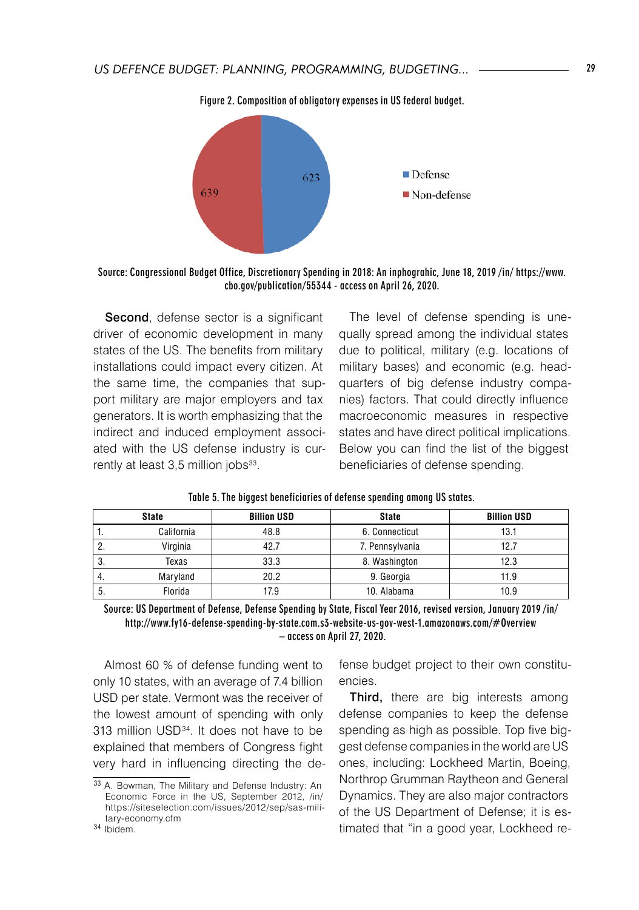

Figure 2. Composition of obligatory expenses in US federal budget.

Source: Congressional Budget Office, Discretionary Spending in 2018: An inphograhic, June 18, 2019 /in/ https://www. cbo.gov/publication/55344 - access on April 26, 2020.

Second, defense sector is a significant driver of economic development in many states of the US. The benefits from military installations could impact every citizen. At the same time, the companies that support military are major employers and tax generators. It is worth emphasizing that the indirect and induced employment associated with the US defense industry is currently at least 3,5 million jobs<sup>33</sup>.

The level of defense spending is unequally spread among the individual states due to political, military (e.g. locations of military bases) and economic (e.g. headquarters of big defense industry companies) factors. That could directly influence macroeconomic measures in respective states and have direct political implications. Below you can find the list of the biggest beneficiaries of defense spending.

|          | <b>State</b> | <b>Billion USD</b> | <b>State</b>    | <b>Billion USD</b> |
|----------|--------------|--------------------|-----------------|--------------------|
| ٠.       | California   | 48.8               | 6. Connecticut  | 13.1               |
| <u>.</u> | Virginia     | 42.7               | 7. Pennsylvania | 12.7               |
| . ა.     | Texas        | 33.3               | 8. Washington   | 12.3               |
| 4.       | Maryland     | 20.2               | 9. Georgia      | 11.9               |
| . C      | Florida      | 17.9               | 10. Alabama     | 10.9               |

Table 5. The biggest beneficiaries of defense spending among US states.

Source: US Department of Defense, Defense Spending by State, Fiscal Year 2016, revised version, January 2019 /in/ http://www.fy16-defense-spending-by-state.com.s3-website-us-gov-west-1.amazonaws.com/#Overview – access on April 27, 2020.

Almost 60 % of defense funding went to only 10 states, with an average of 7.4 billion USD per state. Vermont was the receiver of the lowest amount of spending with only 313 million USD<sup>34</sup>. It does not have to be explained that members of Congress fight very hard in influencing directing the defense budget project to their own constituencies.

Third, there are big interests among defense companies to keep the defense spending as high as possible. Top five biggest defense companies in the world are US ones, including: Lockheed Martin, Boeing, Northrop Grumman Raytheon and General Dynamics. They are also major contractors of the US Department of Defense; it is estimated that "in a good year, Lockheed re-

<sup>33</sup> A. Bowman, The Military and Defense Industry: An Economic Force in the US, September 2012, /in/ https://siteselection.com/issues/2012/sep/sas-military-economy.cfm

<sup>34</sup> Ibidem.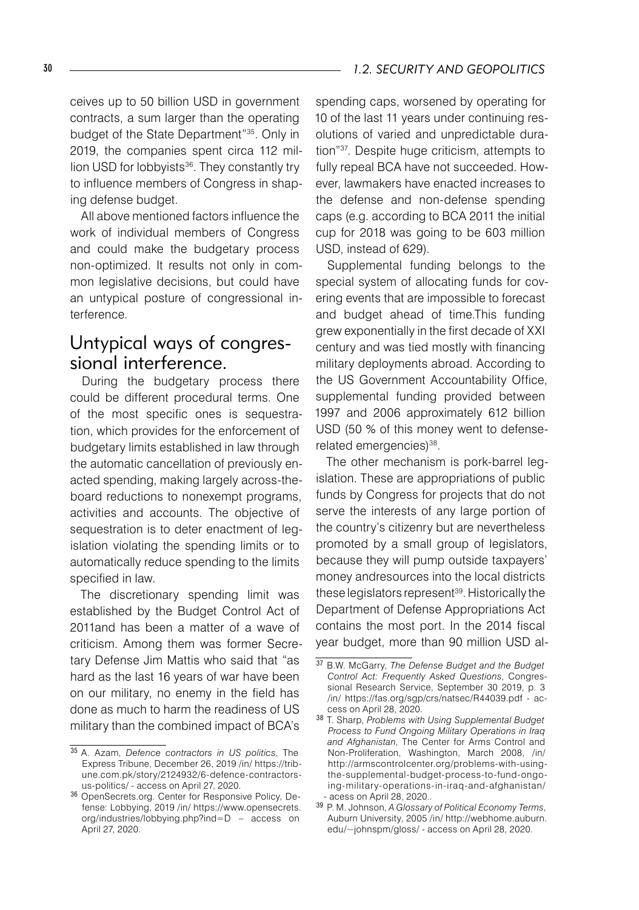ceives up to 50 billion USD in government contracts, a sum larger than the operating budget of the State Department"35. Only in 2019, the companies spent circa 112 million USD for lobbyists<sup>36</sup>. They constantly try to influence members of Congress in shaping defense budget.

All above mentioned factors influence the work of individual members of Congress and could make the budgetary process non-optimized. It results not only in common legislative decisions, but could have an untypical posture of congressional interference.

### Untypical ways of congressional interference.

During the budgetary process there could be different procedural terms. One of the most specific ones is sequestration, which provides for the enforcement of budgetary limits established in law through the automatic cancellation of previously enacted spending, making largely across-theboard reductions to nonexempt programs, activities and accounts. The objective of sequestration is to deter enactment of legislation violating the spending limits or to automatically reduce spending to the limits specified in law.

The discretionary spending limit was established by the Budget Control Act of 2011and has been a matter of a wave of criticism. Among them was former Secretary Defense Jim Mattis who said that "as hard as the last 16 years of war have been on our military, no enemy in the field has done as much to harm the readiness of US military than the combined impact of BCA's

spending caps, worsened by operating for 10 of the last 11 years under continuing resolutions of varied and unpredictable duration"37. Despite huge criticism, attempts to fully repeal BCA have not succeeded. However, lawmakers have enacted increases to the defense and non-defense spending caps (e.g. according to BCA 2011 the initial cup for 2018 was going to be 603 million USD, instead of 629).

Supplemental funding belongs to the special system of allocating funds for covering events that are impossible to forecast and budget ahead of time.This funding grew exponentially in the first decade of XXI century and was tied mostly with financing military deployments abroad. According to the US Government Accountability Office, supplemental funding provided between 1997 and 2006 approximately 612 billion USD (50 % of this money went to defenserelated emergencies)<sup>38</sup>.

The other mechanism is pork-barrel legislation. These are appropriations of public funds by Congress for projects that do not serve the interests of any large portion of the country's citizenry but are nevertheless promoted by a small group of legislators, because they will pump outside taxpayers' money andresources into the local districts these legislators represent<sup>39</sup>. Historically the Department of Defense Appropriations Act contains the most port. In the 2014 fiscal year budget, more than 90 million USD al-

<sup>35</sup> A. Azam, *Defence contractors in US politics*, The Express Tribune, December 26, 2019 /in/ https://tribune.com.pk/story/2124932/6-defence-contractorsus-politics/ - access on April 27, 2020.

<sup>36</sup> OpenSecrets.org. Center for Responsive Policy, Defense: Lobbying, 2019 /in/ https://www.opensecrets. org/industries/lobbying.php?ind=D – access on April 27, 2020.

<sup>37</sup> B.W. McGarry, *The Defense Budget and the Budget Control Act: Frequently Asked Questions*, Congressional Research Service, September 30 2019, p. 3 /in/ https://fas.org/sgp/crs/natsec/R44039.pdf - access on April 28, 2020.

<sup>38</sup> T. Sharp, *Problems with Using Supplemental Budget Process to Fund Ongoing Military Operations in Iraq and Afghanistan*, The Center for Arms Control and Non-Proliferation, Washington, March 2008, /in/ http://armscontrolcenter.org/problems-with-usingthe-supplemental-budget-process-to-fund-ongoing-military-operations-in-iraq-and-afghanistan/ - acess on April 28, 2020..

<sup>39</sup> P. M. Johnson, *A Glossary of Political Economy Terms*, Auburn University, 2005 /in/ http://webhome.auburn. edu/~johnspm/gloss/ - access on April 28, 2020.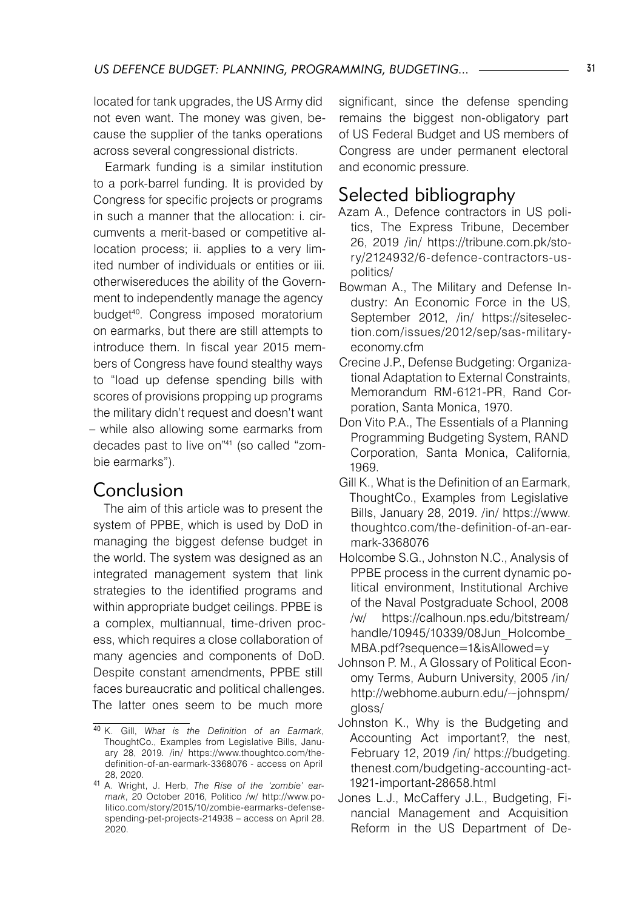located for tank upgrades, the US Army did not even want. The money was given, because the supplier of the tanks operations across several congressional districts.

Earmark funding is a similar institution to a pork-barrel funding. It is provided by Congress for specific projects or programs in such a manner that the allocation: i. circumvents a merit-based or competitive allocation process; ii. applies to a very limited number of individuals or entities or iii. otherwisereduces the ability of the Government to independently manage the agency budget40. Congress imposed moratorium on earmarks, but there are still attempts to introduce them. In fiscal year 2015 members of Congress have found stealthy ways to "load up defense spending bills with scores of provisions propping up programs the military didn't request and doesn't want – while also allowing some earmarks from decades past to live on"41 (so called "zombie earmarks").

### Conclusion

The aim of this article was to present the system of PPBE, which is used by DoD in managing the biggest defense budget in the world. The system was designed as an integrated management system that link strategies to the identified programs and within appropriate budget ceilings. PPBE is a complex, multiannual, time-driven process, which requires a close collaboration of many agencies and components of DoD. Despite constant amendments, PPBE still faces bureaucratic and political challenges. The latter ones seem to be much more

significant, since the defense spending remains the biggest non-obligatory part of US Federal Budget and US members of Congress are under permanent electoral and economic pressure.

# Selected bibliography

- Azam A., Defence contractors in US politics, The Express Tribune, December 26, 2019 /in/ https://tribune.com.pk/story/2124932/6-defence-contractors-uspolitics/
- Bowman A., The Military and Defense Industry: An Economic Force in the US, September 2012, /in/ https://siteselection.com/issues/2012/sep/sas-militaryeconomy.cfm
- Crecine J.P., Defense Budgeting: Organizational Adaptation to External Constraints, Memorandum RM-6121-PR, Rand Corporation, Santa Monica, 1970.
- Don Vito P.A., The Essentials of a Planning Programming Budgeting System, RAND Corporation, Santa Monica, California, 1969.
- Gill K., What is the Definition of an Earmark, ThoughtCo., Examples from Legislative Bills, January 28, 2019. /in/ https://www. thoughtco.com/the-definition-of-an-earmark-3368076
- Holcombe S.G., Johnston N.C., Analysis of PPBE process in the current dynamic political environment, Institutional Archive of the Naval Postgraduate School, 2008 /w/ https://calhoun.nps.edu/bitstream/ handle/10945/10339/08Jun\_Holcombe MBA.pdf?sequence=1&isAllowed=y
- Johnson P. M., A Glossary of Political Economy Terms, Auburn University, 2005 /in/ http://webhome.auburn.edu/~johnspm/ gloss/
- Johnston K., Why is the Budgeting and Accounting Act important?, the nest, February 12, 2019 /in/ https://budgeting. thenest.com/budgeting-accounting-act-1921-important-28658.html
- Jones L.J., McCaffery J.L., Budgeting, Financial Management and Acquisition Reform in the US Department of De-

<sup>40</sup> K. Gill, *What is the Definition of an Earmark*, ThoughtCo., Examples from Legislative Bills, January 28, 2019. /in/ https://www.thoughtco.com/thedefinition-of-an-earmark-3368076 - access on April 28, 2020.

<sup>41</sup> A. Wright, J. Herb, *The Rise of the 'zombie' earmark*, 20 October 2016, Politico /w/ http://www.politico.com/story/2015/10/zombie-earmarks-defensespending-pet-projects-214938 – access on April 28. 2020.